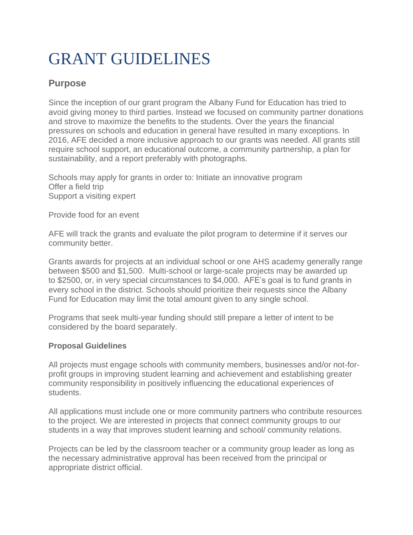## GRANT GUIDELINES

## **Purpose**

Since the inception of our grant program the Albany Fund for Education has tried to avoid giving money to third parties. Instead we focused on community partner donations and strove to maximize the benefits to the students. Over the years the financial pressures on schools and education in general have resulted in many exceptions. In 2016, AFE decided a more inclusive approach to our grants was needed. All grants still require school support, an educational outcome, a community partnership, a plan for sustainability, and a report preferably with photographs.

Schools may apply for grants in order to: Initiate an innovative program Offer a field trip Support a visiting expert

Provide food for an event

AFE will track the grants and evaluate the pilot program to determine if it serves our community better.

Grants awards for projects at an individual school or one AHS academy generally range between \$500 and \$1,500. Multi-school or large-scale projects may be awarded up to \$2500, or, in very special circumstances to \$4,000. AFE's goal is to fund grants in every school in the district. Schools should prioritize their requests since the Albany Fund for Education may limit the total amount given to any single school.

Programs that seek multi-year funding should still prepare a letter of intent to be considered by the board separately.

## **Proposal Guidelines**

All projects must engage schools with community members, businesses and/or not-forprofit groups in improving student learning and achievement and establishing greater community responsibility in positively influencing the educational experiences of students.

All applications must include one or more community partners who contribute resources to the project. We are interested in projects that connect community groups to our students in a way that improves student learning and school/ community relations.

Projects can be led by the classroom teacher or a community group leader as long as the necessary administrative approval has been received from the principal or appropriate district official.